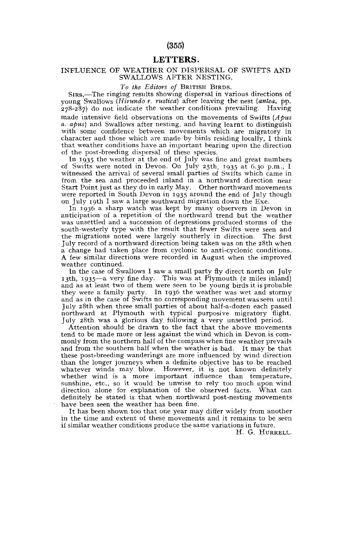## (355)

# LETTERS.

#### INFLUENCE OF WEATHER ON DISPERSAL OF SWIFTS AND SWALLOWS AFTER NESTING.

#### *To the Editors of* BRITISH BIRDS.

SIRS,—The ringing results showing dispersal in various directions of young Swallows *(Hirundo r. rustica)* after leaving the nest *(anteu,* pp. 278-287) do not indicate the weather conditions prevailing. Having made intensive field observations on the movements of Swifts *(Apus a. apus)* and Swallows after nesting, and having learnt to distinguish with some confidence between movements which are migratory in character and those which are made by birds residing locally, I think that weather conditions have an important bearing upon the direction of the post-breeding dispersal of these species.

In 1935 the weather at the end of July was fine and great numbers of Swifts were noted in Devon. On July 25th, 1935 at 6.30 p.m., I witnessed the arrival of several small parties of Swifts which came in from the sea and proceeded inland in a northward direction near Start Point just as they do in early May. Other northward movements were reported in South Devon in 1935 around the end of July though on July 19th I saw a large southward migration down the Exe.

In 1936 a sharp watch was kept by many observers in Devon in anticipation of a repetition of the northward trend but the weather was unsettled and a succession of depressions produced storms of the south-westerly type with the result that fewer Swifts were seen and the migrations noted were largely southerly in direction. The first July record of a northward direction being taken was on the 28th when a change had taken place from cyclonic to anti-cyclonic conditions. A few similar directions were recorded in August when the improved weather continued.

In the case of Swallows I saw a small party fly direct north on July 13th, 1935—a very fine day. This was at Plymouth (2 miles inland) and as at least two of them were seen to be young birds it is probable they were a family party. In 1936 the weather was wet and stormy and as in the case of Swifts no corresponding movement was seen until July 28th when three small parties of about half-a-dozen each passed northward at Plymouth with typical purposive migratory flight. July 28th was a glorious day following a very unsettled period.

Attention should be drawn to the fact that the above movements tend to be made more or less against the wind which in Devon is commonly from the northern half of the compass when fine weather prevails and from the southern half when the weather is bad. It may be that these post-breeding wanderings are more influenced by wind direction than the longer journeys when a definite objective has to be reached whatever winds may blow. However, it is not known definitely whether wind is a more important influence than temperature, sunshine, etc., so it would be unwise to rely too much upon wind direction alone for explanation of the observed facts. What can definitely be stated is that when northward post-nesting movements have been seen the weather has been fine.

It has been shown too that one year may differ widely from another in the time and extent of these movements and it remains to be seen if similar weather conditions produce the same variations in future.

H. G. HORRELL,